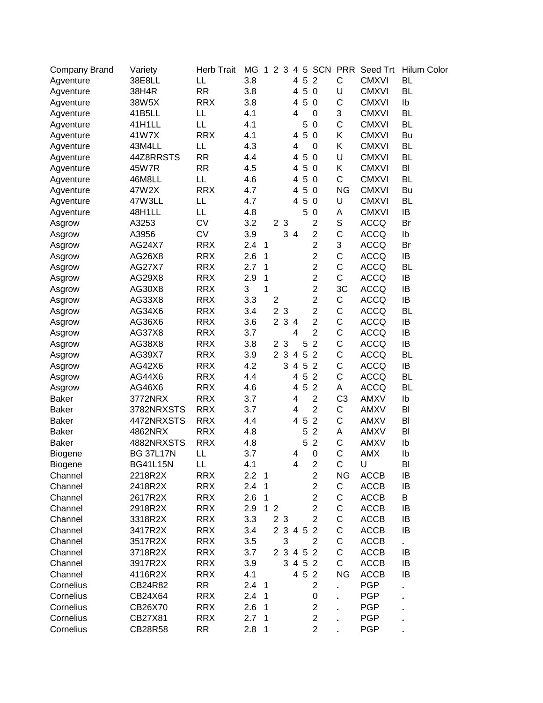| <b>Company Brand</b> | Variety          | <b>Herb Trait</b> |     |                         |                |                |                |                |                         |                |              | MG 1 2 3 4 5 SCN PRR Seed Trt Hilum Color |
|----------------------|------------------|-------------------|-----|-------------------------|----------------|----------------|----------------|----------------|-------------------------|----------------|--------------|-------------------------------------------|
| Agventure            | 38E8LL           | LL                | 3.8 |                         |                |                | 4              |                | 5 2                     | $\mathsf C$    | <b>CMXVI</b> | <b>BL</b>                                 |
| Agventure            | 38H4R            | <b>RR</b>         | 3.8 |                         |                |                | 4              |                | 5 0                     | U              | <b>CMXVI</b> | <b>BL</b>                                 |
| Agventure            | 38W5X            | <b>RRX</b>        | 3.8 |                         |                |                | 4              |                | 5 0                     | С              | <b>CMXVI</b> | Ib                                        |
| Agventure            | 41B5LL           | LL                | 4.1 |                         |                |                | 4              |                | $\mathbf 0$             | 3              | <b>CMXVI</b> | <b>BL</b>                                 |
| Agventure            | 41H1LL           | LL                | 4.1 |                         |                |                |                | 5              | $\mathbf 0$             | $\mathsf C$    | <b>CMXVI</b> | <b>BL</b>                                 |
| Agventure            | 41W7X            | <b>RRX</b>        | 4.1 |                         |                |                | 4              | 5              | $\overline{0}$          | Κ              | <b>CMXVI</b> | Bu                                        |
| Agventure            | 43M4LL           | LL                | 4.3 |                         |                |                | 4              |                | 0                       | Κ              | <b>CMXVI</b> | <b>BL</b>                                 |
| Agventure            | 44Z8RRSTS        | <b>RR</b>         | 4.4 |                         |                |                | 4              | $\overline{5}$ | $\overline{0}$          | U              | <b>CMXVI</b> | <b>BL</b>                                 |
| Agventure            | 45W7R            | <b>RR</b>         | 4.5 |                         |                |                | 4              | $\overline{5}$ | $\overline{0}$          | Κ              | <b>CMXVI</b> | BI                                        |
| Agventure            | 46M8LL           | LL                | 4.6 |                         |                |                | 4              | 5              | $\overline{0}$          | С              | <b>CMXVI</b> | <b>BL</b>                                 |
| Agventure            | 47W2X            | <b>RRX</b>        | 4.7 |                         |                |                | 4              | $\sqrt{5}$     | $\overline{0}$          | <b>NG</b>      | <b>CMXVI</b> | Bu                                        |
| Agventure            | 47W3LL           | LL                | 4.7 |                         |                |                | 4              | $\overline{5}$ | $\overline{0}$          | U              | <b>CMXVI</b> | <b>BL</b>                                 |
| Agventure            | 48H1LL           | LL                | 4.8 |                         |                |                |                | 5              | $\mathbf 0$             | Α              | <b>CMXVI</b> | IB                                        |
| Asgrow               | A3253            | <b>CV</b>         | 3.2 |                         |                | 2 3            |                |                | $\mathbf 2$             | S              | <b>ACCQ</b>  | Br                                        |
| Asgrow               | A3956            | <b>CV</b>         | 3.9 |                         |                |                | 3 4            |                | $\overline{c}$          | $\mathsf C$    | <b>ACCQ</b>  | Ib                                        |
| Asgrow               | AG24X7           | <b>RRX</b>        | 2.4 | $\overline{1}$          |                |                |                |                | $\overline{2}$          | 3              | <b>ACCQ</b>  | Br                                        |
| Asgrow               | AG26X8           | <b>RRX</b>        | 2.6 | $\mathbf{1}$            |                |                |                |                | 2                       | $\mathsf C$    | <b>ACCQ</b>  | IB                                        |
| Asgrow               | <b>AG27X7</b>    | <b>RRX</b>        | 2.7 | $\mathbf{1}$            |                |                |                |                | $\overline{c}$          | С              | <b>ACCQ</b>  | <b>BL</b>                                 |
| Asgrow               | AG29X8           | <b>RRX</b>        | 2.9 | 1                       |                |                |                |                | $\overline{\mathbf{c}}$ | $\mathsf C$    | <b>ACCQ</b>  | IB                                        |
| Asgrow               | AG30X8           | <b>RRX</b>        | 3   | 1                       |                |                |                |                | $\overline{c}$          | 3C             | <b>ACCQ</b>  | IB                                        |
| Asgrow               | AG33X8           | <b>RRX</b>        | 3.3 |                         | $\overline{c}$ |                |                |                | $\overline{c}$          | С              | <b>ACCQ</b>  | IB                                        |
| Asgrow               | AG34X6           | <b>RRX</b>        | 3.4 |                         | $\overline{c}$ | $\mathbf{3}$   |                |                | $\boldsymbol{2}$        | C              | <b>ACCQ</b>  | <b>BL</b>                                 |
| Asgrow               | AG36X6           | <b>RRX</b>        | 3.6 |                         |                | 2 <sub>3</sub> | $\overline{a}$ |                | $\overline{c}$          | $\mathsf C$    | <b>ACCQ</b>  | IB                                        |
| Asgrow               | AG37X8           | <b>RRX</b>        | 3.7 |                         |                |                | 4              |                | $\overline{2}$          | $\mathsf C$    | <b>ACCQ</b>  | IB                                        |
| Asgrow               | AG38X8           | <b>RRX</b>        | 3.8 |                         |                | 2 <sub>3</sub> |                | 5              | $\overline{2}$          | $\mathsf C$    | <b>ACCQ</b>  | IB                                        |
| Asgrow               | AG39X7           | <b>RRX</b>        | 3.9 |                         |                | 2 3            | $\overline{4}$ | $\overline{5}$ | $\overline{2}$          | $\mathsf C$    | <b>ACCQ</b>  | <b>BL</b>                                 |
| Asgrow               | AG42X6           | <b>RRX</b>        | 4.2 |                         |                | 3              | 4              | $\overline{5}$ | $\overline{2}$          | C              | <b>ACCQ</b>  | IB                                        |
| Asgrow               | AG44X6           | <b>RRX</b>        | 4.4 |                         |                |                | 4              | 5              | $\overline{2}$          | С              | <b>ACCQ</b>  | <b>BL</b>                                 |
| Asgrow               | AG46X6           | <b>RRX</b>        | 4.6 |                         |                |                | 4              | $\sqrt{5}$     | $\overline{2}$          | Α              | <b>ACCQ</b>  | <b>BL</b>                                 |
| <b>Baker</b>         | 3772NRX          | <b>RRX</b>        | 3.7 |                         |                |                | 4              |                | $\mathbf 2$             | C <sub>3</sub> | <b>AMXV</b>  | Ib                                        |
| <b>Baker</b>         | 3782NRXSTS       | <b>RRX</b>        | 3.7 |                         |                |                | 4              |                | $\overline{2}$          | С              | <b>AMXV</b>  | BI                                        |
| <b>Baker</b>         | 4472NRXSTS       | <b>RRX</b>        | 4.4 |                         |                |                | 4              | $\sqrt{5}$     | $\sqrt{2}$              | $\mathsf C$    | <b>AMXV</b>  | BI                                        |
| <b>Baker</b>         | 4862NRX          | <b>RRX</b>        | 4.8 |                         |                |                |                | 5              | $\sqrt{2}$              | Α              | <b>AMXV</b>  | BI                                        |
| <b>Baker</b>         | 4882NRXSTS       | <b>RRX</b>        | 4.8 |                         |                |                |                | 5              | $\overline{2}$          | $\mathsf C$    | <b>AMXV</b>  | Ib                                        |
| <b>Biogene</b>       | <b>BG 37L17N</b> | LL                | 3.7 |                         |                |                | 4              |                | $\mathbf 0$             | C              | <b>AMX</b>   | Ib                                        |
| <b>Biogene</b>       | <b>BG41L15N</b>  | LL                | 4.1 |                         |                |                | 4              |                | $\overline{\mathbf{c}}$ | С              | U            | BI                                        |
| Channel              | 2218R2X          | <b>RRX</b>        | 2.2 | $\overline{1}$          |                |                |                |                | $\overline{c}$          | <b>NG</b>      | <b>ACCB</b>  | IB                                        |
| Channel              | 2418R2X          | <b>RRX</b>        | 2.4 | 1                       |                |                |                |                | $\overline{2}$          | С              | <b>ACCB</b>  | IB                                        |
| Channel              | 2617R2X          | <b>RRX</b>        | 2.6 | 1                       |                |                |                |                | $\overline{c}$          | С              | <b>ACCB</b>  | Β                                         |
| Channel              | 2918R2X          | <b>RRX</b>        | 2.9 |                         | 1 <sub>2</sub> |                |                |                | $\overline{c}$          | С              | <b>ACCB</b>  | IB                                        |
| Channel              | 3318R2X          | <b>RRX</b>        | 3.3 |                         |                | 2 <sub>3</sub> |                |                | $\overline{2}$          | C              | <b>ACCB</b>  | IB                                        |
| Channel              | 3417R2X          | <b>RRX</b>        | 3.4 |                         |                |                |                | 2 3 4 5 2      |                         | C              | <b>ACCB</b>  | IB                                        |
| Channel              | 3517R2X          | <b>RRX</b>        | 3.5 |                         |                | 3              |                |                | 2                       | С              | <b>ACCB</b>  |                                           |
| Channel              | 3718R2X          | <b>RRX</b>        | 3.7 |                         |                |                |                | 2 3 4 5 2      |                         | С              | ACCB         | IB                                        |
| Channel              |                  | <b>RRX</b>        | 3.9 |                         |                |                |                | 3 4 5 2        |                         | C              | <b>ACCB</b>  | IB                                        |
|                      | 3917R2X          |                   |     |                         |                |                |                |                |                         |                |              |                                           |
| Channel              | 4116R2X          | <b>RRX</b>        | 4.1 |                         |                |                |                | 4 5 2          |                         | <b>NG</b>      | <b>ACCB</b>  | IB                                        |
| Cornelius            | CB24R82          | RR                | 2.4 | $\overline{\mathbf{1}}$ |                |                |                |                | $\overline{c}$          |                | <b>PGP</b>   |                                           |
| Cornelius            | CB24X64          | <b>RRX</b>        | 2.4 | $\overline{1}$          |                |                |                |                | 0                       |                | <b>PGP</b>   |                                           |
| Cornelius            | CB26X70          | <b>RRX</b>        | 2.6 | $\overline{1}$          |                |                |                |                | $\overline{c}$          |                | <b>PGP</b>   |                                           |
| Cornelius            | CB27X81          | <b>RRX</b>        | 2.7 | $\overline{1}$          |                |                |                |                | $\overline{c}$          |                | <b>PGP</b>   |                                           |
| Cornelius            | CB28R58          | RR                | 2.8 | $\mathbf{1}$            |                |                |                |                | $\overline{c}$          |                | <b>PGP</b>   |                                           |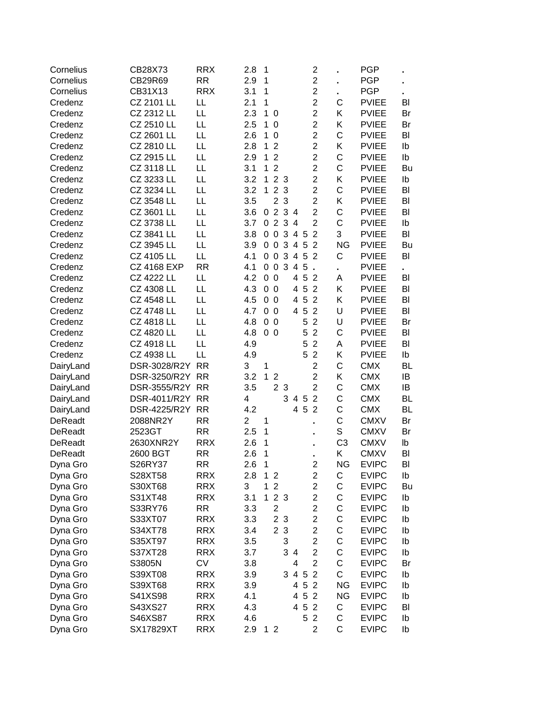| Cornelius            | CB28X73            | <b>RRX</b> | 2.8            | 1            |                |                |                |       | $\overline{2}$      |                  | <b>PGP</b>                   |           |
|----------------------|--------------------|------------|----------------|--------------|----------------|----------------|----------------|-------|---------------------|------------------|------------------------------|-----------|
| Cornelius            | CB29R69            | <b>RR</b>  | 2.9            | 1            |                |                |                |       | $\overline{c}$      |                  | <b>PGP</b>                   |           |
| Cornelius            | CB31X13            | <b>RRX</b> | 3.1            | 1            |                |                |                |       | $\overline{2}$      |                  | <b>PGP</b>                   | ٠         |
| Credenz              | CZ 2101 LL         | LL         | 2.1            | 1            |                |                |                |       | $\overline{c}$      | C                | <b>PVIEE</b>                 | BI        |
| Credenz              | CZ 2312 LL         | LL         | 2.3            | $\mathbf 1$  | 0              |                |                |       | $\overline{2}$      | Κ                | <b>PVIEE</b>                 | Br        |
| Credenz              | CZ 2510 LL         | LL         | 2.5            | $\mathbf 1$  | $\mathbf 0$    |                |                |       | $\overline{2}$      | Κ                | <b>PVIEE</b>                 | Br        |
| Credenz              | CZ 2601 LL         | LL         | 2.6            | $\mathbf 1$  | $\mathbf 0$    |                |                |       | $\overline{2}$      | $\mathsf{C}$     | <b>PVIEE</b>                 | BI        |
| Credenz              | CZ 2810 LL         | LL         | 2.8            | $\mathbf 1$  | $\overline{2}$ |                |                |       | $\overline{2}$      | Κ                | <b>PVIEE</b>                 | lb        |
| Credenz              | CZ 2915 LL         | LL         | 2.9            | $\mathbf 1$  | $\overline{2}$ |                |                |       | $\overline{2}$      | $\mathsf{C}$     | <b>PVIEE</b>                 | Ib        |
| Credenz              | CZ 3118 LL         | LL         | 3.1            | $\mathbf{1}$ | $\overline{2}$ |                |                |       | $\overline{c}$      | $\mathsf{C}$     | <b>PVIEE</b>                 | Bu        |
| Credenz              | CZ 3233 LL         | LL         | 3.2            | $\mathbf{1}$ |                | 2 <sub>3</sub> |                |       | $\overline{2}$      | Κ                | <b>PVIEE</b>                 | Ib        |
| Credenz              | CZ 3234 LL         | LL         | 3.2            | $\mathbf{1}$ |                | 2 <sub>3</sub> |                |       | $\overline{c}$      | $\mathsf{C}$     | <b>PVIEE</b>                 | BI        |
| Credenz              | CZ 3548 LL         | LL         | 3.5            |              | $\overline{2}$ | 3              |                |       | $\overline{c}$      | Κ                | <b>PVIEE</b>                 | BI        |
| Credenz              | CZ 3601 LL         | LL         | 3.6            | 0            |                | 2 3 4          |                |       | $\overline{2}$      | $\mathsf{C}$     | <b>PVIEE</b>                 | BI        |
| Credenz              | CZ 3738 LL         | LL         | 3.7            | 0            |                | 2 3 4          |                |       | $\overline{2}$      | $\mathsf{C}$     | <b>PVIEE</b>                 | Ib        |
| Credenz              | CZ 3841 LL         | LL         | 3.8            | 0            | $\mathbf 0$    | 3              | 4 5            |       | $\overline{2}$      | 3                | <b>PVIEE</b>                 | BI        |
| Credenz              | CZ 3945 LL         | LL         | 3.9            | 0            | $\pmb{0}$      | $\mathbf{3}$   | 4 5            |       | $\overline{2}$      | <b>NG</b>        | <b>PVIEE</b>                 | Bu        |
| Credenz              | CZ 4105 LL         | LL         | 4.1            | 0            | $\pmb{0}$      | 3              | 4 5            |       | $\overline{2}$      | C                | <b>PVIEE</b>                 | BI        |
| Credenz              | <b>CZ 4168 EXP</b> | <b>RR</b>  | 4.1            | 0            | $\pmb{0}$      | 3              | $\overline{4}$ | 5     | $\epsilon$          | ä,               | <b>PVIEE</b>                 | ×.        |
| Credenz              | <b>CZ 4222 LL</b>  | LL         | 4.2            |              | 0 <sub>0</sub> |                | 4              | 5     | $\overline{2}$      | A                | <b>PVIEE</b>                 | BI        |
| Credenz              | CZ 4308 LL         | LL         | 4.3            |              | 0 <sub>0</sub> |                | 4              |       | 5 2                 | Κ                | <b>PVIEE</b>                 | BI        |
| Credenz              | <b>CZ 4548 LL</b>  | LL         | 4.5            |              | 0 <sub>0</sub> |                | 4              |       | 5 2                 | Κ                | <b>PVIEE</b>                 | BI        |
| Credenz              | <b>CZ 4748 LL</b>  | LL         | 4.7            |              | 0 <sub>0</sub> |                | 4              | 5     | $\overline{2}$      | U                | <b>PVIEE</b>                 | BI        |
| Credenz              | CZ 4818 LL         | LL         | 4.8            |              | 0 <sub>0</sub> |                |                | 5     | $\overline{2}$      | U                | <b>PVIEE</b>                 | Br        |
| Credenz              | CZ 4820 LL         | LL         | 4.8            |              | 0 <sub>0</sub> |                |                | 5     | $\overline{2}$      | C                | <b>PVIEE</b>                 | BI        |
| Credenz              | CZ 4918 LL         | LL         | 4.9            |              |                |                |                | 5     | $\overline{2}$      | A                | <b>PVIEE</b>                 | BI        |
| Credenz              | CZ 4938 LL         | LL         | 4.9            |              |                |                |                | 5     | $\overline{2}$      | Κ                | <b>PVIEE</b>                 | Ib        |
| DairyLand            | DSR-3028/R2Y       | <b>RR</b>  | 3              | 1            |                |                |                |       | $\overline{2}$      | C                | <b>CMX</b>                   | <b>BL</b> |
| DairyLand            | DSR-3250/R2Y RR    |            | 3.2            | $\mathbf{1}$ | $\overline{2}$ |                |                |       | $\overline{c}$      | Κ                | <b>CMX</b>                   | IB        |
| DairyLand            | DSR-3555/R2Y       | <b>RR</b>  | 3.5            |              |                | 2 <sub>3</sub> |                |       | $\overline{2}$      | $\mathsf C$      | <b>CMX</b>                   | IB        |
| DairyLand            | DSR-4011/R2Y       | <b>RR</b>  | 4              |              |                |                | 3 4 5          |       | $\overline{2}$      | $\mathsf C$      | <b>CMX</b>                   | <b>BL</b> |
| DairyLand            | DSR-4225/R2Y       | <b>RR</b>  | 4.2            |              |                |                |                | 4 5   | $\overline{2}$      | $\mathsf{C}$     | <b>CMX</b>                   | <b>BL</b> |
| <b>DeReadt</b>       | 2088NR2Y           | <b>RR</b>  | $\overline{2}$ | 1            |                |                |                |       |                     | C                | <b>CMXV</b>                  | Br        |
| <b>DeReadt</b>       | 2523GT             | <b>RR</b>  | 2.5            | 1            |                |                |                |       | $\blacksquare$      | S                | <b>CMXV</b>                  | Br        |
| DeReadt              | 2630XNR2Y          | <b>RRX</b> | 2.6            | 1            |                |                |                |       | ٠                   | C <sub>3</sub>   | <b>CMXV</b>                  | lb        |
| <b>DeReadt</b>       | 2600 BGT           | <b>RR</b>  | 2.6            | 1            |                |                |                |       | ٠                   | Κ                | <b>CMXV</b>                  | BI        |
|                      | S26RY37            | RR         |                | 1            |                |                |                |       | $\blacksquare$      |                  |                              |           |
| Dyna Gro             | S28XT58            | <b>RRX</b> | 2.6<br>2.8     | 1            | $\overline{2}$ |                |                |       | 2<br>$\overline{c}$ | NG.<br>C         | EVIPC<br><b>EVIPC</b>        | BI<br>lb  |
| Dyna Gro             | S30XT68            | <b>RRX</b> | 3              | 1            | $\overline{2}$ |                |                |       | $\overline{2}$      | C                | <b>EVIPC</b>                 | Bu        |
| Dyna Gro<br>Dyna Gro | S31XT48            | <b>RRX</b> | 3.1            | $\mathbf 1$  |                | 2 <sub>3</sub> |                |       | $\overline{2}$      | C                | <b>EVIPC</b>                 | Ib        |
|                      | S33RY76            | <b>RR</b>  | 3.3            |              | $\mathbf 2$    |                |                |       | $\overline{2}$      | C                | <b>EVIPC</b>                 | Ib        |
| Dyna Gro             | S33XT07            | <b>RRX</b> | 3.3            |              |                | 2 <sub>3</sub> |                |       | $\overline{2}$      | C                | <b>EVIPC</b>                 | Ib        |
| Dyna Gro             | S34XT78            | <b>RRX</b> | 3.4            |              |                | 2 <sub>3</sub> |                |       | $\overline{c}$      | C                | <b>EVIPC</b>                 | Ib        |
| Dyna Gro             |                    | <b>RRX</b> |                |              |                |                |                |       | $\overline{c}$      | C                | <b>EVIPC</b>                 |           |
| Dyna Gro             | S35XT97            |            | 3.5            |              |                | 3              |                |       | $\overline{c}$      |                  |                              | Ib        |
| Dyna Gro             | S37XT28            | <b>RRX</b> | 3.7            |              |                |                | 3 4            |       | $\overline{2}$      | C<br>$\mathsf C$ | <b>EVIPC</b><br><b>EVIPC</b> | Ib        |
| Dyna Gro             | S3805N             | <b>CV</b>  | 3.8            |              |                |                | 4              |       |                     | $\mathsf{C}$     |                              | Br        |
| Dyna Gro             | S39XT08            | <b>RRX</b> | 3.9            |              |                | 3              |                | 4 5 2 |                     |                  | <b>EVIPC</b>                 | lb        |
| Dyna Gro             | S39XT68            | <b>RRX</b> | 3.9            |              |                |                |                | 4 5 2 |                     | <b>NG</b>        | <b>EVIPC</b>                 | Ib        |
| Dyna Gro             | S41XS98            | <b>RRX</b> | 4.1            |              |                |                | 4              | 5     | $\overline{2}$      | <b>NG</b>        | <b>EVIPC</b>                 | Ib        |
| Dyna Gro             | S43XS27            | <b>RRX</b> | 4.3            |              |                |                | 4              | 5     | $\overline{2}$      | C                | <b>EVIPC</b>                 | BI        |
| Dyna Gro             | S46XS87            | <b>RRX</b> | 4.6            |              |                |                |                | 5     | $\overline{2}$      | C                | <b>EVIPC</b>                 | Ib        |
| Dyna Gro             | SX17829XT          | <b>RRX</b> | 2.9            |              | 1 <sub>2</sub> |                |                |       | $\overline{2}$      | C                | <b>EVIPC</b>                 | Ib        |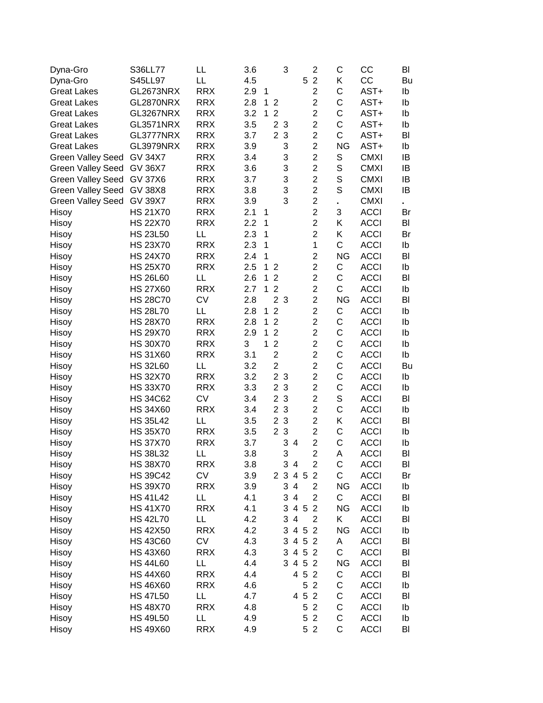| Dyna-Gro                 | S36LL77         | LL         | 3.6 |   |   |                | 3                   |     |                | $\overline{2}$ | C              | CC          | BI |
|--------------------------|-----------------|------------|-----|---|---|----------------|---------------------|-----|----------------|----------------|----------------|-------------|----|
| Dyna-Gro                 | S45LL97         | LL         | 4.5 |   |   |                |                     |     | 5              | $\overline{2}$ | Κ              | CC          | Bu |
| <b>Great Lakes</b>       | GL2673NRX       | <b>RRX</b> | 2.9 | 1 |   |                |                     |     |                | $\overline{c}$ | C              | AST+        | Ib |
| <b>Great Lakes</b>       | GL2870NRX       | <b>RRX</b> | 2.8 |   | 1 | $\overline{2}$ |                     |     |                | $\overline{2}$ | C              | AST+        | Ib |
| <b>Great Lakes</b>       | GL3267NRX       | <b>RRX</b> | 3.2 |   | 1 | $\overline{2}$ |                     |     |                | $\overline{2}$ | C              | AST+        | Ib |
| <b>Great Lakes</b>       | GL3571NRX       | <b>RRX</b> | 3.5 |   |   | $\overline{2}$ | 3                   |     |                | $\overline{2}$ | C              | AST+        | Ib |
| <b>Great Lakes</b>       | GL3777NRX       | <b>RRX</b> | 3.7 |   |   | $\overline{2}$ | 3                   |     |                | $\overline{c}$ | C              | AST+        | BI |
| <b>Great Lakes</b>       | GL3979NRX       | <b>RRX</b> | 3.9 |   |   |                | 3                   |     |                | $\overline{2}$ | <b>NG</b>      | AST+        | Ib |
| <b>Green Valley Seed</b> | <b>GV 34X7</b>  | <b>RRX</b> | 3.4 |   |   |                | 3                   |     |                | $\overline{2}$ | S              | <b>CMXI</b> | IB |
| <b>Green Valley Seed</b> | <b>GV 36X7</b>  | <b>RRX</b> | 3.6 |   |   |                | 3                   |     |                | $\overline{2}$ | $\mathbf S$    | <b>CMXI</b> | IB |
| <b>Green Valley Seed</b> | <b>GV 37X6</b>  | <b>RRX</b> | 3.7 |   |   |                | 3                   |     |                | $\overline{2}$ | S              | <b>CMXI</b> | IB |
| <b>Green Valley Seed</b> | <b>GV 38X8</b>  | <b>RRX</b> | 3.8 |   |   |                | 3                   |     |                | $\overline{2}$ | S              | <b>CMXI</b> | IB |
| <b>Green Valley Seed</b> | <b>GV 39X7</b>  | <b>RRX</b> | 3.9 |   |   |                | 3                   |     |                | $\overline{c}$ | $\blacksquare$ | <b>CMXI</b> |    |
| Hisoy                    | <b>HS 21X70</b> | <b>RRX</b> | 2.1 | 1 |   |                |                     |     |                | $\overline{2}$ | 3              | <b>ACCI</b> | Br |
| Hisoy                    | <b>HS 22X70</b> | <b>RRX</b> | 2.2 | 1 |   |                |                     |     |                | $\overline{2}$ | Κ              | <b>ACCI</b> | BI |
| Hisoy                    | <b>HS 23L50</b> | LL         | 2.3 | 1 |   |                |                     |     |                | $\overline{2}$ | Κ              | <b>ACCI</b> | Br |
| Hisoy                    | <b>HS 23X70</b> | <b>RRX</b> | 2.3 | 1 |   |                |                     |     |                | 1              | $\mathsf{C}$   | <b>ACCI</b> | Ib |
| Hisoy                    | <b>HS 24X70</b> | <b>RRX</b> | 2.4 | 1 |   |                |                     |     |                | $\overline{2}$ | <b>NG</b>      | <b>ACCI</b> | BI |
| Hisoy                    | <b>HS 25X70</b> | <b>RRX</b> | 2.5 |   | 1 | 2              |                     |     |                | $\overline{2}$ | C              | <b>ACCI</b> | Ib |
| Hisoy                    | <b>HS 26L60</b> | LL         | 2.6 |   | 1 | $\overline{2}$ |                     |     |                | $\overline{2}$ | C              | <b>ACCI</b> | BI |
| Hisoy                    | <b>HS 27X60</b> | <b>RRX</b> | 2.7 |   | 1 | $\overline{2}$ |                     |     |                | $\overline{2}$ | C              | <b>ACCI</b> | Ib |
| Hisoy                    | <b>HS 28C70</b> | <b>CV</b>  | 2.8 |   |   | $\overline{2}$ | 3                   |     |                | $\overline{2}$ | <b>NG</b>      | <b>ACCI</b> | BI |
| Hisoy                    | <b>HS 28L70</b> | LL         | 2.8 |   | 1 | $\overline{2}$ |                     |     |                | $\overline{2}$ | C              | <b>ACCI</b> | Ib |
| Hisoy                    | <b>HS 28X70</b> | <b>RRX</b> | 2.8 |   | 1 | $\overline{2}$ |                     |     |                | $\overline{c}$ | C              | <b>ACCI</b> | Ib |
| Hisoy                    | <b>HS 29X70</b> | <b>RRX</b> | 2.9 |   | 1 | $\overline{2}$ |                     |     |                | $\overline{2}$ | C              | <b>ACCI</b> | Ib |
| Hisoy                    | <b>HS 30X70</b> | <b>RRX</b> | 3   |   | 1 | $\overline{2}$ |                     |     |                | $\overline{2}$ | C              | <b>ACCI</b> | Ib |
| Hisoy                    | <b>HS 31X60</b> | <b>RRX</b> | 3.1 |   |   | $\overline{2}$ |                     |     |                | $\overline{2}$ | C              | <b>ACCI</b> | Ib |
| Hisoy                    | <b>HS 32L60</b> | LL         | 3.2 |   |   | $\overline{2}$ |                     |     |                | $\overline{2}$ | C              | <b>ACCI</b> | Bu |
| Hisoy                    | <b>HS 32X70</b> | <b>RRX</b> | 3.2 |   |   | 2 <sub>3</sub> |                     |     |                | $\overline{2}$ | C              | <b>ACCI</b> | Ib |
| Hisoy                    | <b>HS 33X70</b> | <b>RRX</b> | 3.3 |   |   | $\overline{2}$ | $\mathbf{3}$        |     |                | $\overline{2}$ | C              | <b>ACCI</b> | Ib |
| Hisoy                    | <b>HS 34C62</b> | <b>CV</b>  | 3.4 |   |   | $\overline{2}$ | $\mathbf{3}$        |     |                | $\overline{2}$ | $\mathbf S$    | <b>ACCI</b> | BI |
| Hisoy                    | <b>HS 34X60</b> | <b>RRX</b> | 3.4 |   |   | 2 <sub>3</sub> |                     |     |                | $\overline{2}$ | C              | <b>ACCI</b> | Ib |
| Hisoy                    | <b>HS 35L42</b> | LL         | 3.5 |   |   | $\overline{2}$ | $\mathbf{3}$        |     |                | $\overline{2}$ | Κ              | <b>ACCI</b> | BI |
| Hisoy                    | <b>HS 35X70</b> | <b>RRX</b> | 3.5 |   |   | 2 <sub>3</sub> |                     |     |                | $\overline{2}$ | $\mathsf{C}$   | <b>ACCI</b> | Ib |
| Hisoy                    | <b>HS 37X70</b> | <b>RRX</b> | 3.7 |   |   |                | 3<br>$\overline{4}$ |     |                | $\overline{2}$ | $\mathsf C$    | <b>ACCI</b> | Ib |
| Hisoy                    | <b>HS 38L32</b> | LL         | 3.8 |   |   |                | 3                   |     |                | $\overline{2}$ | Α              | <b>ACCI</b> | BI |
| Hisoy                    | <b>HS 38X70</b> | <b>RRX</b> | 3.8 |   |   |                | 3 4                 |     |                | $\overline{2}$ | $\mathsf{C}$   | <b>ACCI</b> | BI |
| Hisoy                    | <b>HS 39C42</b> | CV         | 3.9 |   |   | 2 3            |                     | 4 5 |                | $\overline{2}$ | C              | <b>ACCI</b> | Br |
| Hisoy                    | <b>HS 39X70</b> | <b>RRX</b> | 3.9 |   |   |                | 3<br>$\overline{4}$ |     |                | $\overline{2}$ | <b>NG</b>      | <b>ACCI</b> | Ib |
| Hisoy                    | <b>HS 41L42</b> | LL         | 4.1 |   |   |                | 3<br>$\overline{4}$ |     |                | $\overline{2}$ | C              | <b>ACCI</b> | BI |
| Hisoy                    | <b>HS 41X70</b> | <b>RRX</b> | 4.1 |   |   |                | 3                   |     | 4 5 2          |                | <b>NG</b>      | <b>ACCI</b> | Ib |
| Hisoy                    | <b>HS 42L70</b> | LL         | 4.2 |   |   |                | 3                   | 4   |                | $\overline{2}$ | Κ              | <b>ACCI</b> | BI |
| Hisoy                    | <b>HS 42X50</b> | <b>RRX</b> | 4.2 |   |   |                | 3                   |     | 4 5 2          |                | <b>NG</b>      | <b>ACCI</b> | Ib |
| Hisoy                    | <b>HS 43C60</b> | <b>CV</b>  | 4.3 |   |   |                | 3                   |     | 4 5 2          |                | A              | <b>ACCI</b> | BI |
| Hisoy                    | <b>HS 43X60</b> | <b>RRX</b> | 4.3 |   |   |                | 3                   |     | 4 5 2          |                | $\mathsf{C}$   | <b>ACCI</b> | BI |
| Hisoy                    | <b>HS 44L60</b> | LL         | 4.4 |   |   |                | 3                   |     | 4 5 2          |                | <b>NG</b>      | <b>ACCI</b> | BI |
| Hisoy                    | <b>HS 44X60</b> | <b>RRX</b> | 4.4 |   |   |                |                     |     | 4 5 2          |                | $\mathsf C$    | <b>ACCI</b> | BI |
| Hisoy                    | <b>HS 46X60</b> | <b>RRX</b> | 4.6 |   |   |                |                     |     | 5 <sub>2</sub> |                | $\mathsf C$    | <b>ACCI</b> | Ib |
| Hisoy                    | <b>HS 47L50</b> | LL         | 4.7 |   |   |                |                     |     | 4 5 2          |                | C              | <b>ACCI</b> | BI |
| Hisoy                    | <b>HS 48X70</b> | <b>RRX</b> | 4.8 |   |   |                |                     |     | 52             |                | C              | <b>ACCI</b> | Ib |
| Hisoy                    | <b>HS 49L50</b> | LL         | 4.9 |   |   |                |                     |     | 5              | $\overline{2}$ | C              | <b>ACCI</b> | Ib |
| Hisoy                    | <b>HS 49X60</b> | <b>RRX</b> | 4.9 |   |   |                |                     |     | 5 <sub>2</sub> |                | C              | <b>ACCI</b> | BI |
|                          |                 |            |     |   |   |                |                     |     |                |                |                |             |    |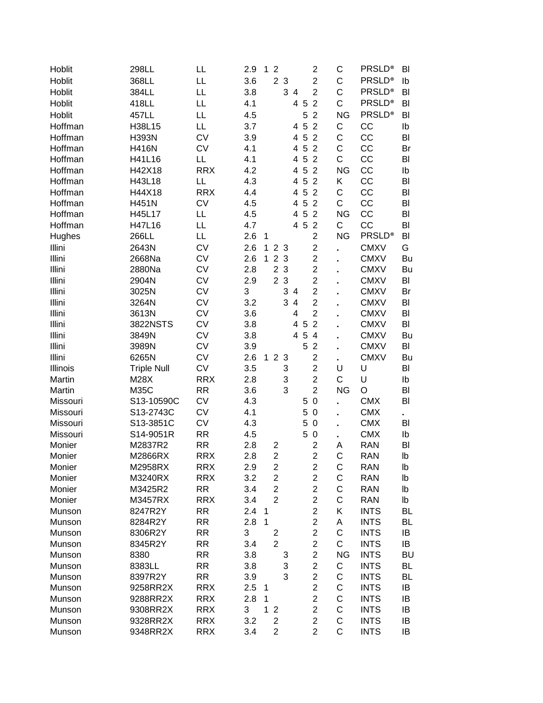| Hoblit   | 298LL              | LL         | 2.9 | 1            | $\overline{2}$ |                |                |     | $\overline{\mathbf{c}}$ | С                   | <b>PRSLD®</b> | BI        |
|----------|--------------------|------------|-----|--------------|----------------|----------------|----------------|-----|-------------------------|---------------------|---------------|-----------|
| Hoblit   | 368LL              | LL         | 3.6 |              | $\overline{2}$ | $\mathbf{3}$   |                |     | $\overline{c}$          | C                   | <b>PRSLD®</b> | Ib        |
| Hoblit   | 384LL              | LL         | 3.8 |              |                |                | 3 4            |     | $\overline{2}$          | $\mathsf C$         | <b>PRSLD®</b> | BI        |
| Hoblit   | 418LL              | LL         | 4.1 |              |                |                |                | 4 5 | $\overline{2}$          | $\mathsf{C}$        | <b>PRSLD®</b> | BI        |
| Hoblit   | 457LL              | LL         | 4.5 |              |                |                |                | 5   | $\overline{2}$          | <b>NG</b>           | <b>PRSLD®</b> | BI        |
| Hoffman  | H38L15             | LL         | 3.7 |              |                |                | 4              | 5   | $\overline{2}$          | $\mathsf C$         | CC            | lb        |
| Hoffman  | H393N              | <b>CV</b>  | 3.9 |              |                |                | 4              | 5   | $\overline{2}$          | C                   | CC            | BI        |
| Hoffman  | <b>H416N</b>       | <b>CV</b>  | 4.1 |              |                |                | 4              | 5   | $\overline{2}$          | $\mathsf C$         | CC            | Br        |
| Hoffman  | H41L16             | LL         | 4.1 |              |                |                | 4              | 5   | $\overline{2}$          | $\mathsf C$         | CC            | BI        |
| Hoffman  | H42X18             | <b>RRX</b> | 4.2 |              |                |                | 4              | 5   | $\overline{2}$          | <b>NG</b>           | CC            | Ib        |
| Hoffman  | H43L18             | LL         | 4.3 |              |                |                | 4              | 5   | $\overline{2}$          | Κ                   | CC            | BI        |
| Hoffman  | H44X18             | <b>RRX</b> | 4.4 |              |                |                | 4              | 5   | $\overline{2}$          | $\mathsf C$         | CC            | BI        |
| Hoffman  | <b>H451N</b>       | <b>CV</b>  | 4.5 |              |                |                | 4              | 5   | $\overline{2}$          | C                   | CC            | BI        |
| Hoffman  | H45L17             | LL         | 4.5 |              |                |                | 4              | 5   | $\overline{2}$          | <b>NG</b>           | CC            | BI        |
| Hoffman  | H47L16             | LL         | 4.7 |              |                |                | 4              | 5   | $\overline{2}$          | C                   | CC            | BI        |
| Hughes   | 266LL              | LL         | 2.6 | 1            |                |                |                |     | $\overline{2}$          | <b>NG</b>           | <b>PRSLD®</b> | BI        |
| Illini   | 2643N              | <b>CV</b>  | 2.6 | 1            |                | 2 <sub>3</sub> |                |     | $\overline{2}$          |                     | <b>CMXV</b>   | G         |
| Illini   | 2668Na             | <b>CV</b>  | 2.6 | $\mathbf{1}$ | $\overline{2}$ | $\mathbf{3}$   |                |     | $\overline{c}$          | ä,                  | <b>CMXV</b>   | Bu        |
| Illini   | 2880Na             | <b>CV</b>  | 2.8 |              | $\overline{2}$ | $\mathbf{3}$   |                |     | $\overline{c}$          | ä,                  | <b>CMXV</b>   | Bu        |
| Illini   | 2904N              | <b>CV</b>  | 2.9 |              |                | 2 <sub>3</sub> |                |     | $\overline{c}$          | ä,                  | <b>CMXV</b>   | BI        |
| Illini   | 3025N              | <b>CV</b>  | 3   |              |                |                | 3 4            |     | $\overline{c}$          |                     | <b>CMXV</b>   | Br        |
| Illini   | 3264N              | <b>CV</b>  | 3.2 |              |                | 3              | $\overline{4}$ |     | $\overline{2}$          |                     | <b>CMXV</b>   | BI        |
| Illini   | 3613N              | <b>CV</b>  | 3.6 |              |                |                | 4              |     | $\overline{2}$          |                     | <b>CMXV</b>   | BI        |
| Illini   | 3822NSTS           | <b>CV</b>  | 3.8 |              |                |                | 4              | 5   | $\overline{2}$          |                     | <b>CMXV</b>   | BI        |
| Illini   | 3849N              | <b>CV</b>  | 3.8 |              |                |                | $\overline{4}$ | 5   | $\overline{4}$          |                     | <b>CMXV</b>   | Bu        |
| Illini   | 3989N              | <b>CV</b>  | 3.9 |              |                |                |                | 5   | $\overline{2}$          |                     | <b>CMXV</b>   | BI        |
| Illini   | 6265N              | <b>CV</b>  | 2.6 |              |                | 123            |                |     | $\overline{c}$          | $\blacksquare$      | <b>CMXV</b>   | Bu        |
| Illinois | <b>Triple Null</b> | <b>CV</b>  | 3.5 |              |                | 3              |                |     | $\overline{c}$          | $\blacksquare$<br>U | U             | BI        |
| Martin   | M28X               | <b>RRX</b> | 2.8 |              |                | 3              |                |     | $\overline{2}$          | C                   | U             | Ib        |
| Martin   | <b>M35C</b>        | <b>RR</b>  | 3.6 |              |                | 3              |                |     | $\overline{2}$          | <b>NG</b>           | O             | BI        |
| Missouri | S13-10590C         | <b>CV</b>  | 4.3 |              |                |                |                | 5   | $\boldsymbol{0}$        |                     | <b>CMX</b>    | BI        |
| Missouri | S13-2743C          | <b>CV</b>  | 4.1 |              |                |                |                | 5   | $\mathbf 0$             | ä,                  | <b>CMX</b>    |           |
| Missouri | S13-3851C          | <b>CV</b>  | 4.3 |              |                |                |                | 5   | $\mathbf 0$             | L.                  | <b>CMX</b>    | BI        |
| Missouri | S14-9051R          | <b>RR</b>  | 4.5 |              |                |                |                | 5   | $\mathbf 0$             | ä,                  | <b>CMX</b>    | Ib        |
| Monier   | M2837R2            | <b>RR</b>  | 2.8 |              | 2              |                |                |     | $\overline{c}$          | Α                   | <b>RAN</b>    | BI        |
| Monier   | M2866RX            | <b>RRX</b> | 2.8 |              | $\overline{2}$ |                |                |     | $\overline{2}$          | $\mathsf{C}$        | <b>RAN</b>    | lb        |
| Monier   | M2958RX            | <b>RRX</b> | 2.9 |              | $\overline{c}$ |                |                |     | $\overline{c}$          | С                   | <b>RAN</b>    | lb        |
| Monier   | M3240RX            | <b>RRX</b> | 3.2 |              | $\overline{c}$ |                |                |     | $\overline{c}$          | C                   | <b>RAN</b>    | Ib        |
| Monier   | M3425R2            | <b>RR</b>  | 3.4 |              | $\overline{2}$ |                |                |     | $\overline{2}$          | C                   | <b>RAN</b>    | Ib        |
| Monier   | M3457RX            | <b>RRX</b> | 3.4 |              | $\overline{2}$ |                |                |     | $\overline{c}$          | C                   | <b>RAN</b>    | lb        |
| Munson   | 8247R2Y            | <b>RR</b>  | 2.4 | 1            |                |                |                |     | $\overline{c}$          | Κ                   | <b>INTS</b>   | BL        |
| Munson   | 8284R2Y            | <b>RR</b>  | 2.8 | $\mathbf{1}$ |                |                |                |     | $\overline{c}$          | A                   | <b>INTS</b>   | BL        |
| Munson   | 8306R2Y            | <b>RR</b>  | 3   |              | 2              |                |                |     | $\overline{2}$          | C                   | <b>INTS</b>   | IB        |
| Munson   | 8345R2Y            | <b>RR</b>  | 3.4 |              | $\overline{2}$ |                |                |     | $\overline{2}$          | C                   | <b>INTS</b>   | IB        |
| Munson   | 8380               | <b>RR</b>  | 3.8 |              |                | 3              |                |     | $\overline{2}$          | <b>NG</b>           | <b>INTS</b>   | <b>BU</b> |
| Munson   | 8383LL             | <b>RR</b>  | 3.8 |              |                | 3              |                |     | $\overline{2}$          | С                   | <b>INTS</b>   | BL        |
| Munson   | 8397R2Y            | <b>RR</b>  | 3.9 |              |                | 3              |                |     | $\overline{c}$          | C                   | <b>INTS</b>   | <b>BL</b> |
| Munson   | 9258RR2X           | <b>RRX</b> | 2.5 | 1            |                |                |                |     | $\overline{2}$          | C                   | <b>INTS</b>   | IB        |
| Munson   | 9288RR2X           | <b>RRX</b> | 2.8 | 1            |                |                |                |     | $\overline{2}$          | C                   | <b>INTS</b>   | IB        |
| Munson   | 9308RR2X           | <b>RRX</b> | 3   | 1            | $\overline{2}$ |                |                |     | $\overline{2}$          | C                   | <b>INTS</b>   | IB        |
| Munson   | 9328RR2X           | <b>RRX</b> | 3.2 |              | 2              |                |                |     | $\overline{2}$          | C                   | <b>INTS</b>   | IB        |
| Munson   | 9348RR2X           | <b>RRX</b> | 3.4 |              | $\overline{2}$ |                |                |     | $\overline{2}$          | C                   | <b>INTS</b>   | IB        |
|          |                    |            |     |              |                |                |                |     |                         |                     |               |           |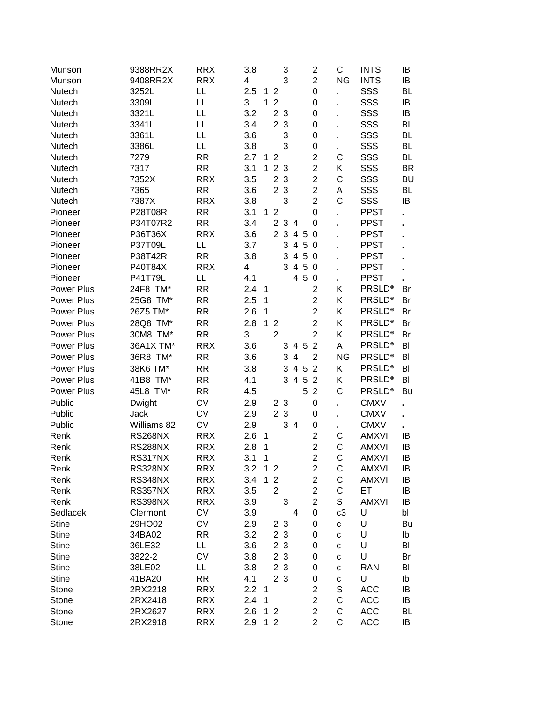| Munson       | 9388RR2X       | <b>RRX</b> | 3.8 |              |                | 3              |                |            | $\overline{c}$          | С         | <b>INTS</b>   | IB        |
|--------------|----------------|------------|-----|--------------|----------------|----------------|----------------|------------|-------------------------|-----------|---------------|-----------|
| Munson       | 9408RR2X       | <b>RRX</b> | 4   |              |                | 3              |                |            | $\overline{2}$          | <b>NG</b> | <b>INTS</b>   | IB        |
| Nutech       | 3252L          | LL         | 2.5 |              | 12             |                |                |            | $\mathbf 0$             |           | SSS           | <b>BL</b> |
| Nutech       | 3309L          | LL         | 3   | 1            | $\overline{2}$ |                |                |            | 0                       |           | SSS           | IB        |
| Nutech       | 3321L          | LL         | 3.2 |              |                | 2 <sub>3</sub> |                |            | 0                       |           | SSS           | IB        |
| Nutech       | 3341L          | LL         | 3.4 |              |                | 2 <sub>3</sub> |                |            | 0                       |           | SSS           | <b>BL</b> |
| Nutech       | 3361L          | LL         | 3.6 |              |                | 3              |                |            | 0                       | ä,        | SSS           | <b>BL</b> |
| Nutech       | 3386L          | LL         | 3.8 |              |                | 3              |                |            | 0                       |           | SSS           | <b>BL</b> |
| Nutech       | 7279           | <b>RR</b>  | 2.7 |              | 12             |                |                |            | $\overline{2}$          | C         | SSS           | <b>BL</b> |
| Nutech       | 7317           | <b>RR</b>  | 3.1 | 1            |                | 2 3            |                |            | $\overline{c}$          | Κ         | SSS           | <b>BR</b> |
| Nutech       | 7352X          | <b>RRX</b> | 3.5 |              | $\overline{2}$ | $\mathbf{3}$   |                |            | $\overline{c}$          | C         | SSS           | <b>BU</b> |
| Nutech       | 7365           | <b>RR</b>  | 3.6 |              |                | 2 3            |                |            | $\overline{2}$          | A         | SSS           | BL        |
| Nutech       | 7387X          | <b>RRX</b> | 3.8 |              |                | 3              |                |            | $\overline{2}$          | C         | SSS           | IB        |
| Pioneer      | <b>P28T08R</b> | <b>RR</b>  | 3.1 | 1            | $\overline{2}$ |                |                |            | $\mathbf 0$             |           | <b>PPST</b>   |           |
| Pioneer      | P34T07R2       | <b>RR</b>  | 3.4 |              | $\overline{2}$ | 34             |                |            | 0                       |           | <b>PPST</b>   |           |
| Pioneer      | P36T36X        | <b>RRX</b> | 3.6 |              |                | 2 3            | 4 5            |            | 0                       |           | <b>PPST</b>   |           |
| Pioneer      | P37T09L        | LL         | 3.7 |              |                | 3              | $\overline{4}$ | 5          | 0                       |           | <b>PPST</b>   |           |
| Pioneer      | P38T42R        | <b>RR</b>  | 3.8 |              |                | 3              | $\overline{4}$ | $\sqrt{5}$ | - 0                     |           | <b>PPST</b>   |           |
| Pioneer      | P40T84X        | <b>RRX</b> | 4   |              |                | 3              | 4              | 5          | - 0                     |           | <b>PPST</b>   |           |
| Pioneer      | P41T79L        | LL         | 4.1 |              |                |                | 4 5            |            | 0                       | ä,        | <b>PPST</b>   |           |
| Power Plus   | 24F8 TM*       | <b>RR</b>  | 2.4 | 1            |                |                |                |            | $\overline{2}$          | Κ         | <b>PRSLD®</b> | Br        |
| Power Plus   | 25G8 TM*       | <b>RR</b>  | 2.5 | 1            |                |                |                |            | $\overline{c}$          | Κ         | <b>PRSLD®</b> | Br        |
| Power Plus   | 26Z5 TM*       | <b>RR</b>  | 2.6 | 1            |                |                |                |            | $\overline{2}$          | K         | <b>PRSLD®</b> | Br        |
| Power Plus   | 28Q8 TM*       | <b>RR</b>  | 2.8 | $\mathbf{1}$ | $\overline{2}$ |                |                |            | $\overline{2}$          | K         | <b>PRSLD®</b> | Br        |
| Power Plus   | 30M8 TM*       | <b>RR</b>  | 3   |              | $\overline{2}$ |                |                |            | $\overline{2}$          | Κ         | <b>PRSLD®</b> | Br        |
| Power Plus   | 36A1X TM*      | <b>RRX</b> | 3.6 |              |                | 3              | 4 5            |            | $\overline{2}$          | A         | <b>PRSLD®</b> | BI        |
| Power Plus   | 36R8 TM*       | <b>RR</b>  | 3.6 |              |                | 3              | 4              |            | $\overline{2}$          | <b>NG</b> | <b>PRSLD®</b> | BI        |
| Power Plus   | 38K6 TM*       | <b>RR</b>  | 3.8 |              |                | 3              | 4 5            |            | $\overline{2}$          | Κ         | <b>PRSLD®</b> | BI        |
| Power Plus   | 41B8 TM*       | <b>RR</b>  | 4.1 |              |                | 3              | 4 5            |            | $\overline{2}$          | K         | <b>PRSLD®</b> | BI        |
|              | 45L8 TM*       | <b>RR</b>  | 4.5 |              |                |                |                | 5          | $\overline{2}$          | C         | <b>PRSLD®</b> |           |
| Power Plus   |                |            |     |              |                |                |                |            |                         |           |               | Bu        |
| Public       | Dwight         | <b>CV</b>  | 2.9 |              |                | 2 <sub>3</sub> |                |            | $\boldsymbol{0}$        | ä,        | <b>CMXV</b>   |           |
| Public       | Jack           | <b>CV</b>  | 2.9 |              |                | 2 3            |                |            | 0                       |           | <b>CMXV</b>   |           |
| Public       | Williams 82    | <b>CV</b>  | 2.9 |              |                |                | 34             |            | 0                       |           | <b>CMXV</b>   |           |
| Renk         | <b>RS268NX</b> | <b>RRX</b> | 2.6 | 1            |                |                |                |            | $\overline{c}$          | C         | <b>AMXVI</b>  | IB        |
| Renk         | <b>RS288NX</b> | <b>RRX</b> | 2.8 | 1            |                |                |                |            | $\overline{2}$          | C         | <b>AMXVI</b>  | IB        |
| Renk         | <b>RS317NX</b> | <b>RRX</b> | 3.1 | 1            |                |                |                |            | $\overline{2}$          | C         | <b>AMXVI</b>  | IB        |
| Renk         | <b>RS328NX</b> | <b>RRX</b> | 3.2 |              | 12             |                |                |            | $\overline{\mathbf{c}}$ | С         | <b>AMXVI</b>  | IB        |
| Renk         | <b>RS348NX</b> | <b>RRX</b> | 3.4 | 1            | $\overline{2}$ |                |                |            | $\boldsymbol{2}$        | С         | <b>AMXVI</b>  | IB        |
| Renk         | <b>RS357NX</b> | <b>RRX</b> | 3.5 |              | $\overline{2}$ |                |                |            | $\overline{2}$          | С         | ET            | IB        |
| Renk         | <b>RS398NX</b> | <b>RRX</b> | 3.9 |              |                | 3              |                |            | $\overline{c}$          | S         | <b>AMXVI</b>  | IB        |
| Sedlacek     | Clermont       | <b>CV</b>  | 3.9 |              |                |                | 4              |            | $\boldsymbol{0}$        | c3        | U             | bl        |
| <b>Stine</b> | 29HO02         | <b>CV</b>  | 2.9 |              |                | 2 3            |                |            | 0                       | C         | U             | Bu        |
| <b>Stine</b> | 34BA02         | <b>RR</b>  | 3.2 |              |                | 2 <sub>3</sub> |                |            | 0                       | C         | U             | Ib        |
| <b>Stine</b> | 36LE32         | LL         | 3.6 |              |                | 2 <sub>3</sub> |                |            | 0                       | C         | U             | BI        |
| <b>Stine</b> | 3822-2         | <b>CV</b>  | 3.8 |              |                | 2 <sub>3</sub> |                |            | 0                       | C         | U             | Br        |
| <b>Stine</b> | 38LE02         | LL         | 3.8 |              |                | 2 <sub>3</sub> |                |            | 0                       | C         | <b>RAN</b>    | BI        |
| <b>Stine</b> | 41BA20         | <b>RR</b>  | 4.1 |              |                | 2 <sub>3</sub> |                |            | 0                       | С         | U             | Ib        |
| Stone        | 2RX2218        | <b>RRX</b> | 2.2 | $\mathbf 1$  |                |                |                |            | $\overline{2}$          | S         | <b>ACC</b>    | IB        |
| Stone        | 2RX2418        | <b>RRX</b> | 2.4 | $\mathbf 1$  |                |                |                |            | $\overline{2}$          | С         | <b>ACC</b>    | IB        |
| Stone        | 2RX2627        | <b>RRX</b> | 2.6 |              | 1 <sub>2</sub> |                |                |            | $\overline{2}$          | С         | <b>ACC</b>    | BL        |
| Stone        | 2RX2918        | <b>RRX</b> | 2.9 |              | 12             |                |                |            | $\overline{2}$          | C         | <b>ACC</b>    | IB        |